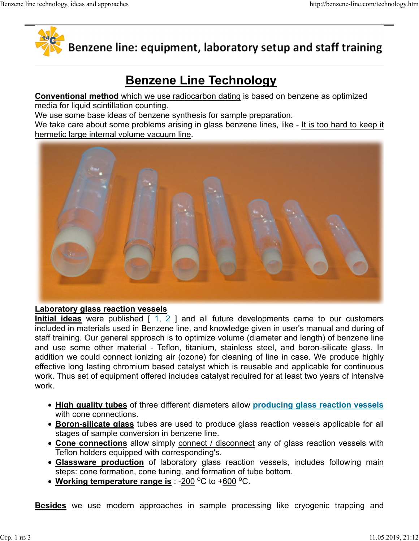

# Benzene line technology, ideas and approaches http://benzene-line.com/technology.htm<br> **Algebridge Hine: equipment. laboratory setup and staff training**

# Benzene Line Technology

Conventional method which we use radiocarbon dating is based on benzene as optimized

media for liquid scintillation counting.

We use some base ideas of benzene synthesis for sample preparation.

We take care about some problems arising in glass benzene lines, like - It is too hard to keep it hermetic large internal volume vacuum line.



### Laboratory glass reaction vessels

included in materials used in Benzene line, and knowledge given in user's manual and during of staff training. Our general approach is to optimize volume (diameter and length) of benzene line and use some other material - Teflon, titanium, stainless steel, and boron-silicate glass. In effective long lasting chromium based catalyst which is reusable and applicable for continuous work. Thus set of equipment offered includes catalyst required for at least two years of intensive work. **Example 12**<br> **Glass** were published [1, 2 ] and all future developments came to our customers<br>
<u>Ideas</u> were published [1, 2 ] and all future developments came to our customers<br>
raining, Our general approach is to optimiz ratory glass reaction vessels<br>
<u>ided</u> is were published [1, 2] and all future developments came to our customers<br>
<u>ided</u> in materials used in Benzene line, and knowledge given in user's manual and during of<br>
raining. Our g Inculated in materials used in Berazine line, and Knowledge given in users manual and outromed<br>taff training. Our general approach is to optimize volume (diameter and length) of benzene line<br>and use some other material all future developments came to our customers<br>and knowledge given in user's manual and during of<br>imize volume (diameter and length) of benzene line<br>nium, stainless steel, and boron-silicate glass. In<br>explore highly<br>ost wh

- High quality tubes of three different diameters allow producing glass reaction vessels with cone connections.
- Boron-silicate glass tubes are used to produce glass reaction vessels applicable for all stages of sample conversion in benzene line.
- Cone connections allow simply connect / disconnect any of glass reaction vessels with Teflon holders equipped with corresponding's.
- steps: cone formation, cone tuning, and formation of tube bottom.
-